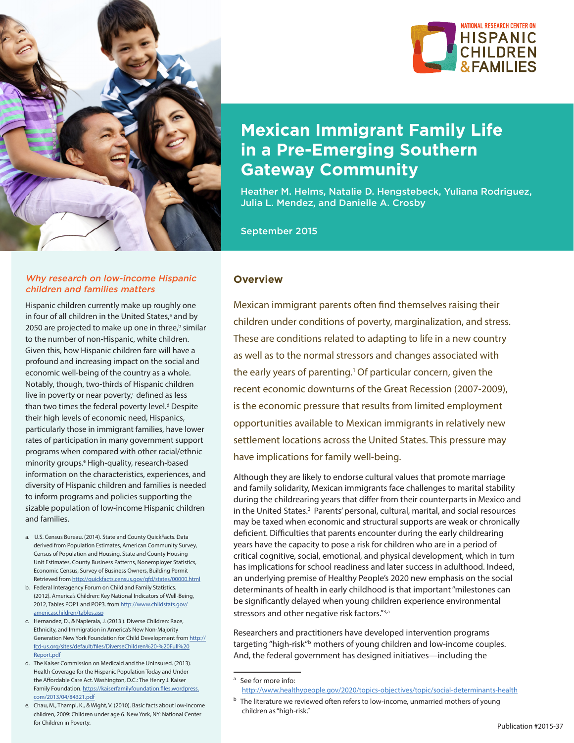

#### Why research on low-income Hispanic children and families matters

Hispanic children currently make up roughly one in four of all children in the United States,<sup>a</sup> and by 2050 are projected to make up one in three,<sup>b</sup> similar to the number of non-Hispanic, white children. Given this, how Hispanic children fare will have a profound and increasing impact on the social and economic well-being of the country as a whole. Notably, though, two-thirds of Hispanic children live in poverty or near poverty,<sup>c</sup> defined as less than two times the federal poverty level.<sup>d</sup> Despite their high levels of economic need, Hispanics, particularly those in immigrant families, have lower rates of participation in many government support programs when compared with other racial/ethnic minority groups.<sup>e</sup> High-quality, research-based information on the characteristics, experiences, and diversity of Hispanic children and families is needed to inform programs and policies supporting the sizable population of low-income Hispanic children and families.

- a. U.S. Census Bureau. (2014). State and County QuickFacts. Data derived from Population Estimates, American Community Survey, Census of Population and Housing, State and County Housing Unit Estimates, County Business Patterns, Nonemployer Statistics, Economic Census, Survey of Business Owners, Building Permit Retrieved from<http://quickfacts.census.gov/qfd/states/00000.html>
- b. Federal Interagency Forum on Child and Family Statistics. (2012). America's Children: Key National Indicators of Well-Being, 2012, Tables POP1 and POP3. from [http://www.childstats.gov/](http://www.childstats.gov/americaschildren/tables.asp) [americaschildren/tables.asp](http://www.childstats.gov/americaschildren/tables.asp)
- c. Hernandez, D., & Napierala, J. (2013 ). Diverse Children: Race, Ethnicity, and Immigration in America's New Non-Majority Generation New York Foundation for Child Development from [http://](http://fcd-us.org/sites/default/files/DiverseChildren%20-%20Full%20Report.pdf) [fcd-us.org/sites/default/files/DiverseChildren%20-%20Full%20](http://fcd-us.org/sites/default/files/DiverseChildren%20-%20Full%20Report.pdf) [Report.pdf](http://fcd-us.org/sites/default/files/DiverseChildren%20-%20Full%20Report.pdf)
- d. The Kaiser Commission on Medicaid and the Uninsured. (2013). Health Coverage for the Hispanic Population Today and Under the Affordable Care Act. Washington, D.C.: The Henry J. Kaiser Family Foundation. [https://kaiserfamilyfoundation.files.wordpress.](https://kaiserfamilyfoundation.files.wordpress.com/2013/04/84321.pdf) [com/2013/04/84321.pdf](https://kaiserfamilyfoundation.files.wordpress.com/2013/04/84321.pdf)
- e. Chau, M., Thampi, K., & Wight, V. (2010). Basic facts about low-income children, 2009: Children under age 6. New York, NY: National Center for Children in Poverty.



# **Mexican Immigrant Family Life in a Pre-Emerging Southern Gateway Community**

Heather M. Helms, Natalie D. Hengstebeck, Yuliana Rodriguez, Julia L. Mendez, and Danielle A. Crosby

September 2015

#### **Overview**

Mexican immigrant parents often find themselves raising their children under conditions of poverty, marginalization, and stress. These are conditions related to adapting to life in a new country as well as to the normal stressors and changes associated with the early years of parenting.<sup>1</sup> Of particular concern, given the recent economic downturns of the Great Recession (2007-2009), is the economic pressure that results from limited employment opportunities available to Mexican immigrants in relatively new settlement locations across the United States. This pressure may have implications for family well-being.

Although they are likely to endorse cultural values that promote marriage and family solidarity, Mexican immigrants face challenges to marital stability during the childrearing years that differ from their counterparts in Mexico and in the United States.<sup>2</sup> Parents' personal, cultural, marital, and social resources may be taxed when economic and structural supports are weak or chronically deficient. Difficulties that parents encounter during the early childrearing years have the capacity to pose a risk for children who are in a period of critical cognitive, social, emotional, and physical development, which in turn has implications for school readiness and later success in adulthood. Indeed, an underlying premise of Healthy People's 2020 new emphasis on the social determinants of health in early childhood is that important "milestones can be significantly delayed when young children experience environmental stressors and other negative risk factors."<sup>3,a</sup>

Researchers and practitioners have developed intervention programs targeting "high-risk"<sup>b</sup> mothers of young children and low-income couples. And, the federal government has designed initiatives—including the

<sup>&</sup>lt;sup>a</sup> See for more info: <http://www.healthypeople.gov/2020/topics-objectives/topic/social-determinants-health>

<sup>&</sup>lt;sup>b</sup> The literature we reviewed often refers to low-income, unmarried mothers of young children as "high-risk."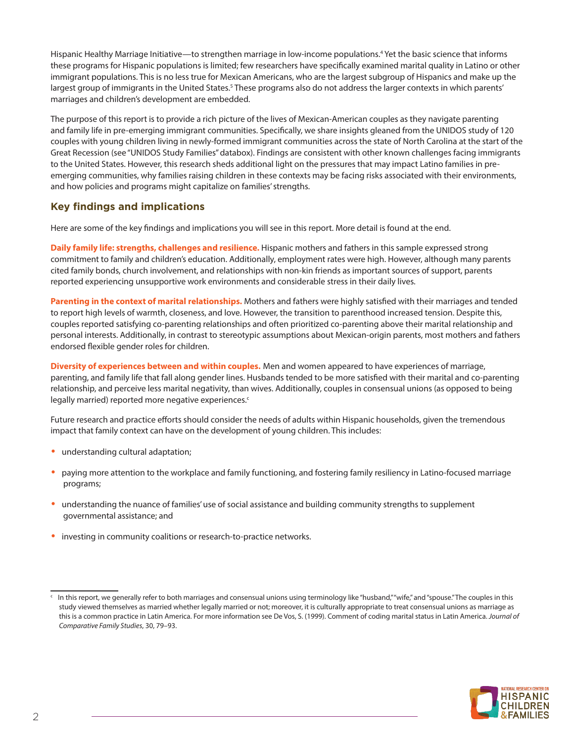Hispanic Healthy Marriage Initiative—to strengthen marriage in low-income populations.4 Yet the basic science that informs these programs for Hispanic populations is limited; few researchers have specifically examined marital quality in Latino or other immigrant populations. This is no less true for Mexican Americans, who are the largest subgroup of Hispanics and make up the largest group of immigrants in the United States.<sup>5</sup> These programs also do not address the larger contexts in which parents' marriages and children's development are embedded.

The purpose of this report is to provide a rich picture of the lives of Mexican-American couples as they navigate parenting and family life in pre-emerging immigrant communities. Specifically, we share insights gleaned from the UNIDOS study of 120 couples with young children living in newly-formed immigrant communities across the state of North Carolina at the start of the Great Recession (see "UNIDOS Study Families" databox). Findings are consistent with other known challenges facing immigrants to the United States. However, this research sheds additional light on the pressures that may impact Latino families in preemerging communities, why families raising children in these contexts may be facing risks associated with their environments, and how policies and programs might capitalize on families' strengths.

# **Key findings and implications**

Here are some of the key findings and implications you will see in this report. More detail is found at the end.

**Daily family life: strengths, challenges and resilience.** Hispanic mothers and fathers in this sample expressed strong commitment to family and children's education. Additionally, employment rates were high. However, although many parents cited family bonds, church involvement, and relationships with non-kin friends as important sources of support, parents reported experiencing unsupportive work environments and considerable stress in their daily lives.

**Parenting in the context of marital relationships.** Mothers and fathers were highly satisfied with their marriages and tended to report high levels of warmth, closeness, and love. However, the transition to parenthood increased tension. Despite this, couples reported satisfying co-parenting relationships and often prioritized co-parenting above their marital relationship and personal interests. Additionally, in contrast to stereotypic assumptions about Mexican-origin parents, most mothers and fathers endorsed flexible gender roles for children.

**Diversity of experiences between and within couples.** Men and women appeared to have experiences of marriage, parenting, and family life that fall along gender lines. Husbands tended to be more satisfied with their marital and co-parenting relationship, and perceive less marital negativity, than wives. Additionally, couples in consensual unions (as opposed to being legally married) reported more negative experiences.<sup>c</sup>

Future research and practice efforts should consider the needs of adults within Hispanic households, given the tremendous impact that family context can have on the development of young children. This includes:

- **•** understanding cultural adaptation;
- **•** paying more attention to the workplace and family functioning, and fostering family resiliency in Latino-focused marriage programs;
- **•** understanding the nuance of families' use of social assistance and building community strengths to supplement governmental assistance; and
- **•** investing in community coalitions or research-to-practice networks.



In this report, we generally refer to both marriages and consensual unions using terminology like "husband," "wife," and "spouse." The couples in this study viewed themselves as married whether legally married or not; moreover, it is culturally appropriate to treat consensual unions as marriage as this is a common practice in Latin America. For more information see De Vos, S. (1999). Comment of coding marital status in Latin America. *Journal of Comparative Family Studies*, 30, 79–93.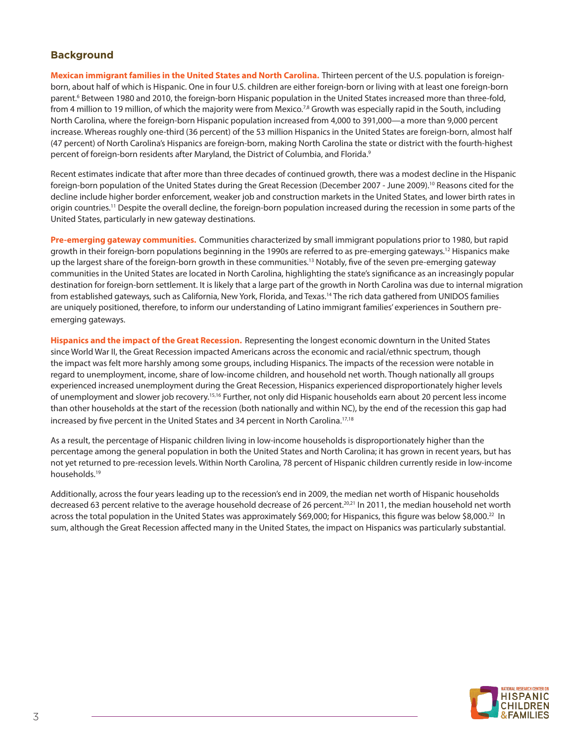# **Background**

**Mexican immigrant families in the United States and North Carolina.** Thirteen percent of the U.S. population is foreignborn, about half of which is Hispanic. One in four U.S. children are either foreign-born or living with at least one foreign-born parent.<sup>6</sup> Between 1980 and 2010, the foreign-born Hispanic population in the United States increased more than three-fold, from 4 million to 19 million, of which the majority were from Mexico.<sup>7,8</sup> Growth was especially rapid in the South, including North Carolina, where the foreign-born Hispanic population increased from 4,000 to 391,000—a more than 9,000 percent increase. Whereas roughly one-third (36 percent) of the 53 million Hispanics in the United States are foreign-born, almost half (47 percent) of North Carolina's Hispanics are foreign-born, making North Carolina the state or district with the fourth-highest percent of foreign-born residents after Maryland, the District of Columbia, and Florida.<sup>9</sup>

Recent estimates indicate that after more than three decades of continued growth, there was a modest decline in the Hispanic foreign-born population of the United States during the Great Recession (December 2007 - June 2009).10 Reasons cited for the decline include higher border enforcement, weaker job and construction markets in the United States, and lower birth rates in origin countries.11 Despite the overall decline, the foreign-born population increased during the recession in some parts of the United States, particularly in new gateway destinations.

**Pre-emerging gateway communities.** Communities characterized by small immigrant populations prior to 1980, but rapid growth in their foreign-born populations beginning in the 1990s are referred to as pre-emerging gateways.<sup>12</sup> Hispanics make up the largest share of the foreign-born growth in these communities.<sup>13</sup> Notably, five of the seven pre-emerging gateway communities in the United States are located in North Carolina, highlighting the state's significance as an increasingly popular destination for foreign-born settlement. It is likely that a large part of the growth in North Carolina was due to internal migration from established gateways, such as California, New York, Florida, and Texas.<sup>14</sup> The rich data gathered from UNIDOS families are uniquely positioned, therefore, to inform our understanding of Latino immigrant families' experiences in Southern preemerging gateways.

**Hispanics and the impact of the Great Recession.** Representing the longest economic downturn in the United States since World War II, the Great Recession impacted Americans across the economic and racial/ethnic spectrum, though the impact was felt more harshly among some groups, including Hispanics. The impacts of the recession were notable in regard to unemployment, income, share of low-income children, and household net worth. Though nationally all groups experienced increased unemployment during the Great Recession, Hispanics experienced disproportionately higher levels of unemployment and slower job recovery.15,16 Further, not only did Hispanic households earn about 20 percent less income than other households at the start of the recession (both nationally and within NC), by the end of the recession this gap had increased by five percent in the United States and 34 percent in North Carolina.17,18

As a result, the percentage of Hispanic children living in low-income households is disproportionately higher than the percentage among the general population in both the United States and North Carolina; it has grown in recent years, but has not yet returned to pre-recession levels. Within North Carolina, 78 percent of Hispanic children currently reside in low-income households.19

Additionally, across the four years leading up to the recession's end in 2009, the median net worth of Hispanic households decreased 63 percent relative to the average household decrease of 26 percent.20,21 In 2011, the median household net worth across the total population in the United States was approximately \$69,000; for Hispanics, this figure was below \$8,000.<sup>22</sup> In sum, although the Great Recession affected many in the United States, the impact on Hispanics was particularly substantial.

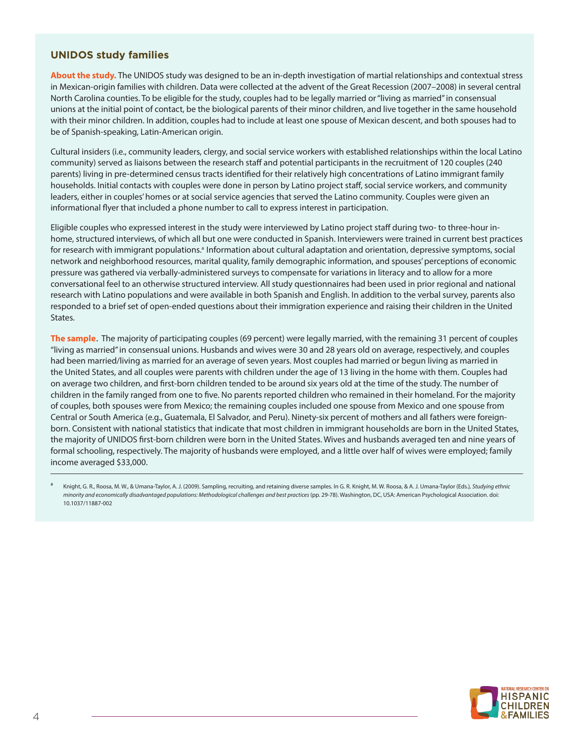#### **UNIDOS study families**

**About the study.** The UNIDOS study was designed to be an in-depth investigation of martial relationships and contextual stress in Mexican-origin families with children. Data were collected at the advent of the Great Recession (2007–2008) in several central North Carolina counties. To be eligible for the study, couples had to be legally married or "living as married" in consensual unions at the initial point of contact, be the biological parents of their minor children, and live together in the same household with their minor children. In addition, couples had to include at least one spouse of Mexican descent, and both spouses had to be of Spanish-speaking, Latin-American origin.

Cultural insiders (i.e., community leaders, clergy, and social service workers with established relationships within the local Latino community) served as liaisons between the research staff and potential participants in the recruitment of 120 couples (240 parents) living in pre-determined census tracts identified for their relatively high concentrations of Latino immigrant family households. Initial contacts with couples were done in person by Latino project staff, social service workers, and community leaders, either in couples' homes or at social service agencies that served the Latino community. Couples were given an informational flyer that included a phone number to call to express interest in participation.

Eligible couples who expressed interest in the study were interviewed by Latino project staff during two- to three-hour inhome, structured interviews, of which all but one were conducted in Spanish. Interviewers were trained in current best practices for research with immigrant populations.<sup>a</sup> Information about cultural adaptation and orientation, depressive symptoms, social network and neighborhood resources, marital quality, family demographic information, and spouses' perceptions of economic pressure was gathered via verbally-administered surveys to compensate for variations in literacy and to allow for a more conversational feel to an otherwise structured interview. All study questionnaires had been used in prior regional and national research with Latino populations and were available in both Spanish and English. In addition to the verbal survey, parents also responded to a brief set of open-ended questions about their immigration experience and raising their children in the United States.

**The sample**. The majority of participating couples (69 percent) were legally married, with the remaining 31 percent of couples "living as married" in consensual unions. Husbands and wives were 30 and 28 years old on average, respectively, and couples had been married/living as married for an average of seven years. Most couples had married or begun living as married in the United States, and all couples were parents with children under the age of 13 living in the home with them. Couples had on average two children, and first-born children tended to be around six years old at the time of the study. The number of children in the family ranged from one to five. No parents reported children who remained in their homeland. For the majority of couples, both spouses were from Mexico; the remaining couples included one spouse from Mexico and one spouse from Central or South America (e.g., Guatemala, El Salvador, and Peru). Ninety-six percent of mothers and all fathers were foreignborn. Consistent with national statistics that indicate that most children in immigrant households are born in the United States, the majority of UNIDOS first-born children were born in the United States. Wives and husbands averaged ten and nine years of formal schooling, respectively. The majority of husbands were employed, and a little over half of wives were employed; family income averaged \$33,000.

<sup>a</sup> Knight, G. R., Roosa, M. W., & Umana-Taylor, A. J. (2009). Sampling, recruiting, and retaining diverse samples. In G. R. Knight, M. W. Roosa, & A. J. Umana-Taylor (Eds.)*, Studying ethnic minority and economically disadvantaged populations: Methodological challenges and best practices* (pp. 29-78). Washington, DC, USA: American Psychological Association. doi: 10.1037/11887-002

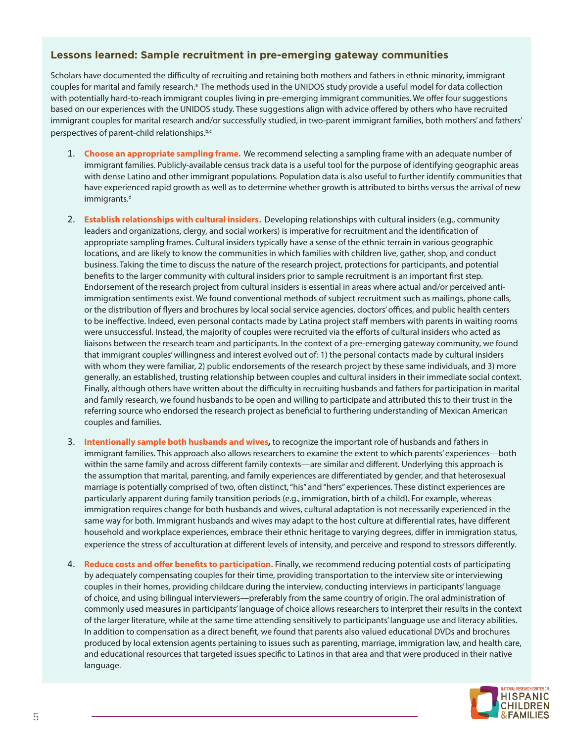#### **Lessons learned: Sample recruitment in pre-emerging gateway communities**

Scholars have documented the difficulty of recruiting and retaining both mothers and fathers in ethnic minority, immigrant couples for marital and family research.<sup>a</sup> The methods used in the UNIDOS study provide a useful model for data collection with potentially hard-to-reach immigrant couples living in pre-emerging immigrant communities. We offer four suggestions based on our experiences with the UNIDOS study. These suggestions align with advice offered by others who have recruited immigrant couples for marital research and/or successfully studied, in two-parent immigrant families, both mothers' and fathers' perspectives of parent-child relationships.<sup>b,c</sup>

- 1. **Choose an appropriate sampling frame.** We recommend selecting a sampling frame with an adequate number of immigrant families. Publicly-available census track data is a useful tool for the purpose of identifying geographic areas with dense Latino and other immigrant populations. Population data is also useful to further identify communities that have experienced rapid growth as well as to determine whether growth is attributed to births versus the arrival of new immigrants.<sup>d</sup>
- 2. **Establish relationships with cultural insiders**. Developing relationships with cultural insiders (e.g., community leaders and organizations, clergy, and social workers) is imperative for recruitment and the identification of appropriate sampling frames. Cultural insiders typically have a sense of the ethnic terrain in various geographic locations, and are likely to know the communities in which families with children live, gather, shop, and conduct business. Taking the time to discuss the nature of the research project, protections for participants, and potential benefits to the larger community with cultural insiders prior to sample recruitment is an important first step. Endorsement of the research project from cultural insiders is essential in areas where actual and/or perceived antiimmigration sentiments exist. We found conventional methods of subject recruitment such as mailings, phone calls, or the distribution of flyers and brochures by local social service agencies, doctors' offices, and public health centers to be ineffective. Indeed, even personal contacts made by Latina project staff members with parents in waiting rooms were unsuccessful. Instead, the majority of couples were recruited via the efforts of cultural insiders who acted as liaisons between the research team and participants. In the context of a pre-emerging gateway community, we found that immigrant couples' willingness and interest evolved out of: 1) the personal contacts made by cultural insiders with whom they were familiar, 2) public endorsements of the research project by these same individuals, and 3) more generally, an established, trusting relationship between couples and cultural insiders in their immediate social context. Finally, although others have written about the difficulty in recruiting husbands and fathers for participation in marital and family research, we found husbands to be open and willing to participate and attributed this to their trust in the referring source who endorsed the research project as beneficial to furthering understanding of Mexican American couples and families.
- 3. **Intentionally sample both husbands and wives,** to recognize the important role of husbands and fathers in immigrant families. This approach also allows researchers to examine the extent to which parents' experiences—both within the same family and across different family contexts—are similar and different. Underlying this approach is the assumption that marital, parenting, and family experiences are differentiated by gender, and that heterosexual marriage is potentially comprised of two, often distinct, "his" and "hers" experiences. These distinct experiences are particularly apparent during family transition periods (e.g., immigration, birth of a child). For example, whereas immigration requires change for both husbands and wives, cultural adaptation is not necessarily experienced in the same way for both. Immigrant husbands and wives may adapt to the host culture at differential rates, have different household and workplace experiences, embrace their ethnic heritage to varying degrees, differ in immigration status, experience the stress of acculturation at different levels of intensity, and perceive and respond to stressors differently.
- 4. **Reduce costs and offer benefits to participation.** Finally, we recommend reducing potential costs of participating by adequately compensating couples for their time, providing transportation to the interview site or interviewing couples in their homes, providing childcare during the interview, conducting interviews in participants' language of choice, and using bilingual interviewers—preferably from the same country of origin. The oral administration of commonly used measures in participants' language of choice allows researchers to interpret their results in the context of the larger literature, while at the same time attending sensitively to participants' language use and literacy abilities. In addition to compensation as a direct benefit, we found that parents also valued educational DVDs and brochures produced by local extension agents pertaining to issues such as parenting, marriage, immigration law, and health care, and educational resources that targeted issues specific to Latinos in that area and that were produced in their native language.

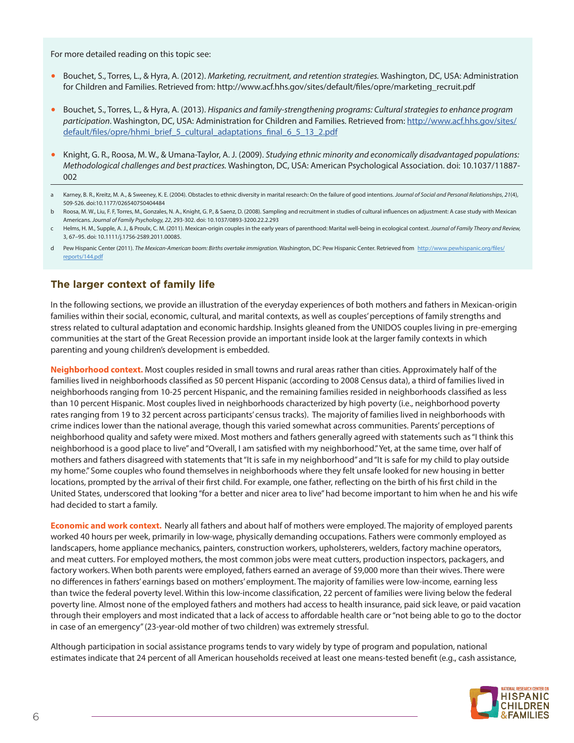For more detailed reading on this topic see:

- Bouchet, S., Torres, L., & Hyra, A. (2012). *Marketing, recruitment, and retention strategies.* Washington, DC, USA: Administration for Children and Families. Retrieved from: http://www.acf.hhs.gov/sites/default/files/opre/marketing\_recruit.pdf
- Bouchet, S., Torres, L., & Hyra, A. (2013). *Hispanics and family-strengthening programs: Cultural strategies to enhance program participation*. Washington, DC, USA: Administration for Children and Families. Retrieved from: [http://www.acf.hhs.gov/sites/](http://www.acf.hhs.gov/sites/default/files/opre/hhmi_brief_5_cultural_adaptations_final_6_5_13_2.pdf) [default/files/opre/hhmi\\_brief\\_5\\_cultural\\_adaptations\\_final\\_6\\_5\\_13\\_2.pdf](http://www.acf.hhs.gov/sites/default/files/opre/hhmi_brief_5_cultural_adaptations_final_6_5_13_2.pdf)
- Knight, G. R., Roosa, M. W., & Umana-Taylor, A. J. (2009). *Studying ethnic minority and economically disadvantaged populations: Methodological challenges and best practices.* Washington, DC, USA: American Psychological Association. doi: 10.1037/11887- 002
- Karney, B. R., Kreitz, M. A., & Sweeney, K. E. (2004). Obstacles to ethnic diversity in marital research: On the failure of good intentions. *Journal of Social and Personal Relationships*, 21(4), 509-526. doi:10.1177/026540750404484
- b Roosa, M. W., Liu, F. F, Torres, M., Gonzales, N. A., Knight, G. P., & Saenz, D. (2008). Sampling and recruitment in studies of cultural influences on adjustment: A case study with Mexican Americans. *Journal of Family Psychology, 22*, 293-302. doi: 10.1037/0893-3200.22.2.293
- c Helms, H. M., Supple, A. J., & Proulx, C. M. (2011). Mexican-origin couples in the early years of parenthood: Marital well-being in ecological context. *Journal of Family Theory and Review,* 3, 67–95. doi: 10.1111/j.1756-2589.2011.00085.
- d Pew Hispanic Center (2011). *The Mexican-American boom: Births overtake immigration.* Washington, DC: Pew Hispanic Center. Retrieved from [http://www.pewhispanic.org/files/](http://www.pewhispanic.org/files/reports/144.pdf) [reports/144.pdf](http://www.pewhispanic.org/files/reports/144.pdf)

## **The larger context of family life**

In the following sections, we provide an illustration of the everyday experiences of both mothers and fathers in Mexican-origin families within their social, economic, cultural, and marital contexts, as well as couples' perceptions of family strengths and stress related to cultural adaptation and economic hardship. Insights gleaned from the UNIDOS couples living in pre-emerging communities at the start of the Great Recession provide an important inside look at the larger family contexts in which parenting and young children's development is embedded.

**Neighborhood context.** Most couples resided in small towns and rural areas rather than cities. Approximately half of the families lived in neighborhoods classified as 50 percent Hispanic (according to 2008 Census data), a third of families lived in neighborhoods ranging from 10-25 percent Hispanic, and the remaining families resided in neighborhoods classified as less than 10 percent Hispanic. Most couples lived in neighborhoods characterized by high poverty (i.e., neighborhood poverty rates ranging from 19 to 32 percent across participants' census tracks). The majority of families lived in neighborhoods with crime indices lower than the national average, though this varied somewhat across communities. Parents' perceptions of neighborhood quality and safety were mixed. Most mothers and fathers generally agreed with statements such as "I think this neighborhood is a good place to live" and "Overall, I am satisfied with my neighborhood." Yet, at the same time, over half of mothers and fathers disagreed with statements that "It is safe in my neighborhood" and "It is safe for my child to play outside my home." Some couples who found themselves in neighborhoods where they felt unsafe looked for new housing in better locations, prompted by the arrival of their first child. For example, one father, reflecting on the birth of his first child in the United States, underscored that looking "for a better and nicer area to live" had become important to him when he and his wife had decided to start a family.

**Economic and work context.** Nearly all fathers and about half of mothers were employed. The majority of employed parents worked 40 hours per week, primarily in low-wage, physically demanding occupations. Fathers were commonly employed as landscapers, home appliance mechanics, painters, construction workers, upholsterers, welders, factory machine operators, and meat cutters. For employed mothers, the most common jobs were meat cutters, production inspectors, packagers, and factory workers. When both parents were employed, fathers earned an average of \$9,000 more than their wives. There were no differences in fathers' earnings based on mothers' employment. The majority of families were low-income, earning less than twice the federal poverty level. Within this low-income classification, 22 percent of families were living below the federal poverty line. Almost none of the employed fathers and mothers had access to health insurance, paid sick leave, or paid vacation through their employers and most indicated that a lack of access to affordable health care or "not being able to go to the doctor in case of an emergency" (23-year-old mother of two children) was extremely stressful.

Although participation in social assistance programs tends to vary widely by type of program and population, national estimates indicate that 24 percent of all American households received at least one means-tested benefit (e.g., cash assistance,

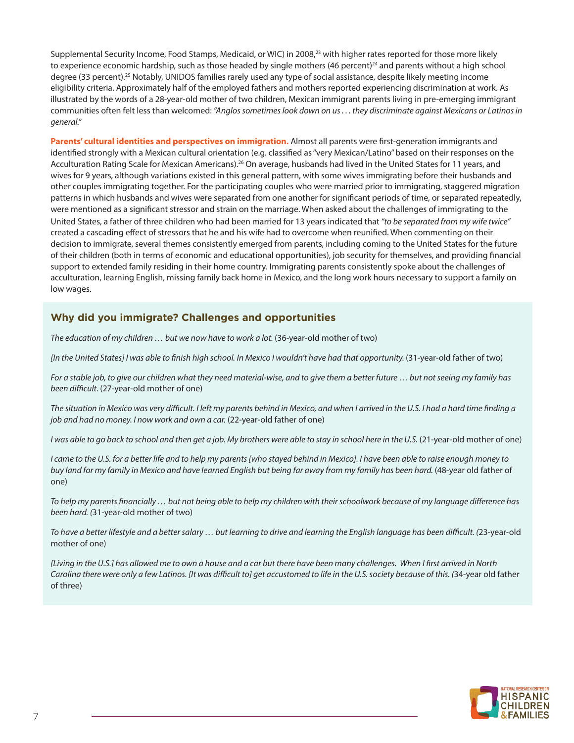Supplemental Security Income, Food Stamps, Medicaid, or WIC) in 2008,<sup>23</sup> with higher rates reported for those more likely to experience economic hardship, such as those headed by single mothers  $(46$  percent)<sup>24</sup> and parents without a high school degree (33 percent).<sup>25</sup> Notably, UNIDOS families rarely used any type of social assistance, despite likely meeting income eligibility criteria. Approximately half of the employed fathers and mothers reported experiencing discrimination at work. As illustrated by the words of a 28-year-old mother of two children, Mexican immigrant parents living in pre-emerging immigrant communities often felt less than welcomed: *"Anglos sometimes look down on us . . . they discriminate against Mexicans or Latinos in general."*

**Parents' cultural identities and perspectives on immigration.** Almost all parents were first-generation immigrants and identified strongly with a Mexican cultural orientation (e.g. classified as "very Mexican/Latino" based on their responses on the Acculturation Rating Scale for Mexican Americans).26 On average, husbands had lived in the United States for 11 years, and wives for 9 years, although variations existed in this general pattern, with some wives immigrating before their husbands and other couples immigrating together. For the participating couples who were married prior to immigrating, staggered migration patterns in which husbands and wives were separated from one another for significant periods of time, or separated repeatedly, were mentioned as a significant stressor and strain on the marriage. When asked about the challenges of immigrating to the United States, a father of three children who had been married for 13 years indicated that *"to be separated from my wife twice"* created a cascading effect of stressors that he and his wife had to overcome when reunified. When commenting on their decision to immigrate, several themes consistently emerged from parents, including coming to the United States for the future of their children (both in terms of economic and educational opportunities), job security for themselves, and providing financial support to extended family residing in their home country. Immigrating parents consistently spoke about the challenges of acculturation, learning English, missing family back home in Mexico, and the long work hours necessary to support a family on low wages.

## **Why did you immigrate? Challenges and opportunities**

*The education of my children … but we now have to work a lot.* (36-year-old mother of two)

*[In the United States] I was able to finish high school. In Mexico I wouldn't have had that opportunity.* (31-year-old father of two)

*For a stable job, to give our children what they need material-wise, and to give them a better future … but not seeing my family has been difficult.* (27-year-old mother of one)

*The situation in Mexico was very difficult. I left my parents behind in Mexico, and when I arrived in the U.S. I had a hard time finding a*  job and had no money. I now work and own a car. (22-year-old father of one)

*I* was able to go back to school and then get a job. My brothers were able to stay in school here in the U.S. (21-year-old mother of one)

*I came to the U.S. for a better life and to help my parents [who stayed behind in Mexico]. I have been able to raise enough money to buy land for my family in Mexico and have learned English but being far away from my family has been hard.* (48-year old father of one)

*To help my parents financially … but not being able to help my children with their schoolwork because of my language difference has been hard. (*31-year-old mother of two)

*To have a better lifestyle and a better salary … but learning to drive and learning the English language has been difficult. (*23-year-old mother of one)

*[Living in the U.S.] has allowed me to own a house and a car but there have been many challenges. When I first arrived in North Carolina there were only a few Latinos. [It was difficult to] get accustomed to life in the U.S. society because of this. (*34-year old father of three)

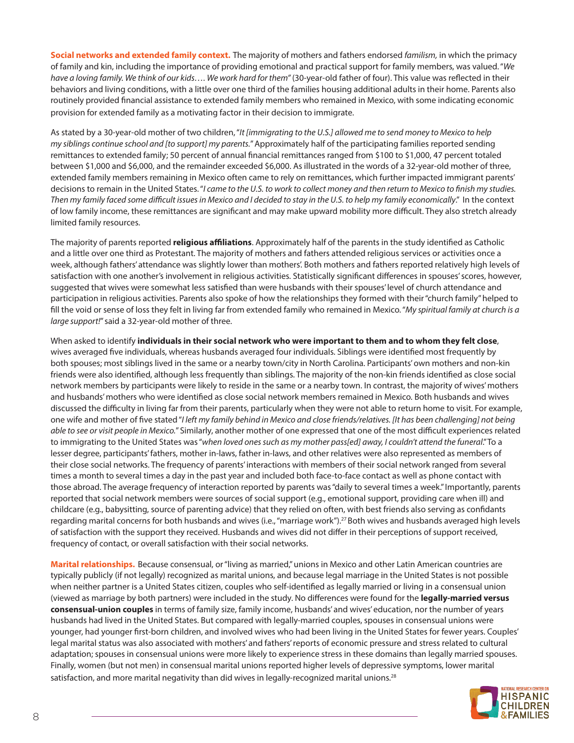**Social networks and extended family context.** The majority of mothers and fathers endorsed *familism,* in which the primacy of family and kin, including the importance of providing emotional and practical support for family members, was valued. "*We*  have a loving family. We think of our kids.... We work hard for them" (30-year-old father of four). This value was reflected in their behaviors and living conditions, with a little over one third of the families housing additional adults in their home. Parents also routinely provided financial assistance to extended family members who remained in Mexico, with some indicating economic provision for extended family as a motivating factor in their decision to immigrate.

As stated by a 30-year-old mother of two children, "*It [immigrating to the U.S.] allowed me to send money to Mexico to help my siblings continue school and [to support] my parents.*" Approximately half of the participating families reported sending remittances to extended family; 50 percent of annual financial remittances ranged from \$100 to \$1,000, 47 percent totaled between \$1,000 and \$6,000, and the remainder exceeded \$6,000. As illustrated in the words of a 32-year-old mother of three, extended family members remaining in Mexico often came to rely on remittances, which further impacted immigrant parents' decisions to remain in the United States. "*I came to the U.S. to work to collect money and then return to Mexico to finish my studies. Then my family faced some difficult issues in Mexico and I decided to stay in the U.S. to help my family economically*." In the context of low family income, these remittances are significant and may make upward mobility more difficult. They also stretch already limited family resources.

The majority of parents reported **religious affiliations**. Approximately half of the parents in the study identified as Catholic and a little over one third as Protestant. The majority of mothers and fathers attended religious services or activities once a week, although fathers' attendance was slightly lower than mothers'. Both mothers and fathers reported relatively high levels of satisfaction with one another's involvement in religious activities. Statistically significant differences in spouses' scores, however, suggested that wives were somewhat less satisfied than were husbands with their spouses' level of church attendance and participation in religious activities. Parents also spoke of how the relationships they formed with their "church family" helped to fill the void or sense of loss they felt in living far from extended family who remained in Mexico. "*My spiritual family at church is a large support!*" said a 32-year-old mother of three.

When asked to identify **individuals in their social network who were important to them and to whom they felt close**, wives averaged five individuals, whereas husbands averaged four individuals. Siblings were identified most frequently by both spouses; most siblings lived in the same or a nearby town/city in North Carolina. Participants' own mothers and non-kin friends were also identified, although less frequently than siblings. The majority of the non-kin friends identified as close social network members by participants were likely to reside in the same or a nearby town. In contrast, the majority of wives' mothers and husbands' mothers who were identified as close social network members remained in Mexico. Both husbands and wives discussed the difficulty in living far from their parents, particularly when they were not able to return home to visit. For example, one wife and mother of five stated "*I left my family behind in Mexico and close friends/relatives. [It has been challenging] not being able to see or visit people in Mexico.*" Similarly, another mother of one expressed that one of the most difficult experiences related to immigrating to the United States was "*when loved ones such as my mother pass[ed] away, I couldn't attend the funeral*." To a lesser degree, participants' fathers, mother in-laws, father in-laws, and other relatives were also represented as members of their close social networks. The frequency of parents' interactions with members of their social network ranged from several times a month to several times a day in the past year and included both face-to-face contact as well as phone contact with those abroad. The average frequency of interaction reported by parents was "daily to several times a week." Importantly, parents reported that social network members were sources of social support (e.g., emotional support, providing care when ill) and childcare (e.g., babysitting, source of parenting advice) that they relied on often, with best friends also serving as confidants regarding marital concerns for both husbands and wives (i.e., "marriage work").<sup>27</sup> Both wives and husbands averaged high levels of satisfaction with the support they received. Husbands and wives did not differ in their perceptions of support received, frequency of contact, or overall satisfaction with their social networks.

**Marital relationships.** Because consensual, or "living as married," unions in Mexico and other Latin American countries are typically publicly (if not legally) recognized as marital unions, and because legal marriage in the United States is not possible when neither partner is a United States citizen, couples who self-identified as legally married or living in a consensual union (viewed as marriage by both partners) were included in the study. No differences were found for the **legally-married versus consensual-union couples** in terms of family size, family income, husbands' and wives' education, nor the number of years husbands had lived in the United States. But compared with legally-married couples, spouses in consensual unions were younger, had younger first-born children, and involved wives who had been living in the United States for fewer years. Couples' legal marital status was also associated with mothers' and fathers' reports of economic pressure and stress related to cultural adaptation; spouses in consensual unions were more likely to experience stress in these domains than legally married spouses. Finally, women (but not men) in consensual marital unions reported higher levels of depressive symptoms, lower marital satisfaction, and more marital negativity than did wives in legally-recognized marital unions.<sup>28</sup>

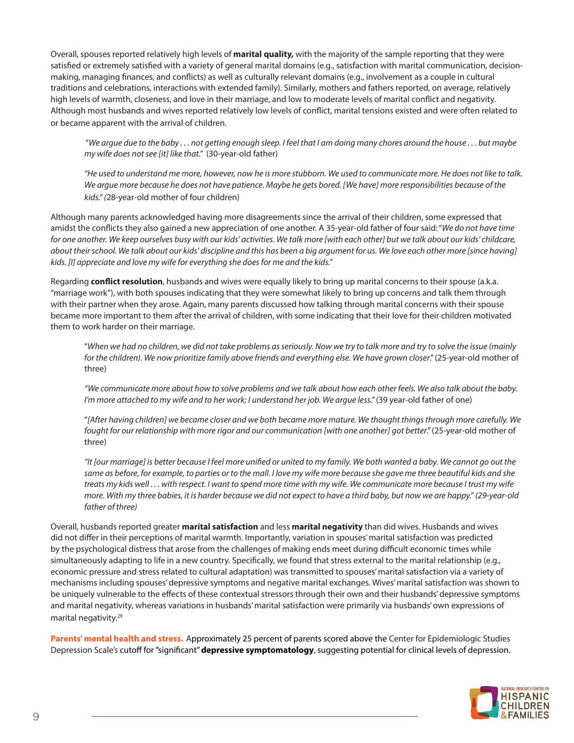Overall, spouses reported relatively high levels of **marital quality,** with the majority of the sample reporting that they were satisfied or extremely satisfied with a variety of general marital domains (e.g., satisfaction with marital communication, decisionmaking, managing finances, and conflicts) as well as culturally relevant domains (e.g., involvement as a couple in cultural traditions and celebrations, interactions with extended family). Similarly, mothers and fathers reported, on average, relatively high levels of warmth, closeness, and love in their marriage, and low to moderate levels of marital conflict and negativity. Although most husbands and wives reported relatively low levels of conflict, marital tensions existed and were often related to or became apparent with the arrival of children.

 "*We argue due to the baby . . . not getting enough sleep. I feel that I am doing many chores around the house . . . but maybe my wife does not see [it] like that."* (30-year-old father)

*"He used to understand me more, however, now he is more stubborn. We used to communicate more. He does not like to talk. We argue more because he does not have patience. Maybe he gets bored. [We have] more responsibilities because of the kids." (*28-year-old mother of four children)

Although many parents acknowledged having more disagreements since the arrival of their children, some expressed that amidst the conflicts they also gained a new appreciation of one another. A 35-year-old father of four said: "*We do not have time for one another. We keep ourselves busy with our kids' activities. We talk more [with each other] but we talk about our kids' childcare, about their school. We talk about our kids' discipline and this has been a big argument for us. We love each other more [since having] kids. [I] appreciate and love my wife for everything she does for me and the kids."*

Regarding **conflict resolution**, husbands and wives were equally likely to bring up marital concerns to their spouse (a.k.a. "marriage work"), with both spouses indicating that they were somewhat likely to bring up concerns and talk them through with their partner when they arose. Again, many parents discussed how talking through marital concerns with their spouse became more important to them after the arrival of children, with some indicating that their love for their children motivated them to work harder on their marriage.

"*When we had no children, we did not take problems as seriously. Now we try to talk more and try to solve the issue (mainly for the children). We now prioritize family above friends and everything else. We have grown closer*." (25-year-old mother of three)

*"We communicate more about how to solve problems and we talk about how each other feels. We also talk about the baby. I'm more attached to my wife and to her work; I understand her job. We argue less."* (39 year-old father of one)

"*[After having children] we became closer and we both became more mature. We thought things through more carefully. We fought for our relationship with more rigor and our communication [with one another] got better*." (25-year-old mother of three)

*"It [our marriage] is better because I feel more unified or united to my family. We both wanted a baby. We cannot go out the same as before, for example, to parties or to the mall. I love my wife more because she gave me three beautiful kids and she treats my kids well . . . with respect. I want to spend more time with my wife. We communicate more because I trust my wife more. With my three babies, it is harder because we did not expect to have a third baby, but now we are happy." (29-year-old father of three)*

Overall, husbands reported greater **marital satisfaction** and less **marital negativity** than did wives. Husbands and wives did not differ in their perceptions of marital warmth. Importantly, variation in spouses' marital satisfaction was predicted by the psychological distress that arose from the challenges of making ends meet during difficult economic times while simultaneously adapting to life in a new country. Specifically, we found that stress external to the marital relationship (e.g., economic pressure and stress related to cultural adaptation) was transmitted to spouses' marital satisfaction via a variety of mechanisms including spouses' depressive symptoms and negative marital exchanges. Wives' marital satisfaction was shown to be uniquely vulnerable to the effects of these contextual stressors through their own and their husbands' depressive symptoms and marital negativity, whereas variations in husbands' marital satisfaction were primarily via husbands' own expressions of marital negativity.29

**Parents' mental health and stress.** Approximately 25 percent of parents scored above the Center for Epidemiologic Studies Depression Scale's cutoff for "significant" **depressive symptomatology**, suggesting potential for clinical levels of depression.

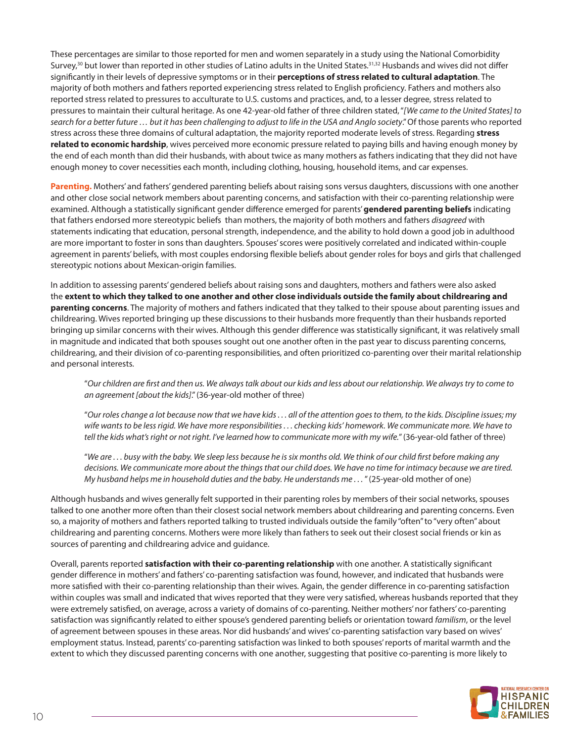These percentages are similar to those reported for men and women separately in a study using the National Comorbidity Survey,<sup>30</sup> but lower than reported in other studies of Latino adults in the United States.<sup>31,32</sup> Husbands and wives did not differ significantly in their levels of depressive symptoms or in their **perceptions of stress related to cultural adaptation**. The majority of both mothers and fathers reported experiencing stress related to English proficiency. Fathers and mothers also reported stress related to pressures to acculturate to U.S. customs and practices, and, to a lesser degree, stress related to pressures to maintain their cultural heritage. As one 42-year-old father of three children stated, "*[We came to the United States] to search for a better future … but it has been challenging to adjust to life in the USA and Anglo society*." Of those parents who reported stress across these three domains of cultural adaptation, the majority reported moderate levels of stress. Regarding **stress related to economic hardship**, wives perceived more economic pressure related to paying bills and having enough money by the end of each month than did their husbands, with about twice as many mothers as fathers indicating that they did not have enough money to cover necessities each month, including clothing, housing, household items, and car expenses.

**Parenting.** Mothers' and fathers' gendered parenting beliefs about raising sons versus daughters, discussions with one another and other close social network members about parenting concerns, and satisfaction with their co-parenting relationship were examined. Although a statistically significant gender difference emerged for parents' **gendered parenting beliefs** indicating that fathers endorsed more stereotypic beliefs than mothers, the majority of both mothers and fathers *disagreed* with statements indicating that education, personal strength, independence, and the ability to hold down a good job in adulthood are more important to foster in sons than daughters. Spouses' scores were positively correlated and indicated within-couple agreement in parents' beliefs, with most couples endorsing flexible beliefs about gender roles for boys and girls that challenged stereotypic notions about Mexican-origin families.

In addition to assessing parents' gendered beliefs about raising sons and daughters, mothers and fathers were also asked the **extent to which they talked to one another and other close individuals outside the family about childrearing and parenting concerns**. The majority of mothers and fathers indicated that they talked to their spouse about parenting issues and childrearing. Wives reported bringing up these discussions to their husbands more frequently than their husbands reported bringing up similar concerns with their wives. Although this gender difference was statistically significant, it was relatively small in magnitude and indicated that both spouses sought out one another often in the past year to discuss parenting concerns, childrearing, and their division of co-parenting responsibilities, and often prioritized co-parenting over their marital relationship and personal interests.

"*Our children are first and then us. We always talk about our kids and less about our relationship. We always try to come to an agreement [about the kids]*." (36-year-old mother of three)

"*Our roles change a lot because now that we have kids . . . all of the attention goes to them, to the kids. Discipline issues; my wife wants to be less rigid. We have more responsibilities . . . checking kids' homework. We communicate more. We have to tell the kids what's right or not right. I've learned how to communicate more with my wife.*" (36-year-old father of three)

"*We are . . . busy with the baby. We sleep less because he is six months old. We think of our child first before making any decisions. We communicate more about the things that our child does. We have no time for intimacy because we are tired. My husband helps me in household duties and the baby. He understands me . . .* " (25-year-old mother of one)

Although husbands and wives generally felt supported in their parenting roles by members of their social networks, spouses talked to one another more often than their closest social network members about childrearing and parenting concerns. Even so, a majority of mothers and fathers reported talking to trusted individuals outside the family "often" to "very often" about childrearing and parenting concerns. Mothers were more likely than fathers to seek out their closest social friends or kin as sources of parenting and childrearing advice and guidance.

Overall, parents reported **satisfaction with their co-parenting relationship** with one another. A statistically significant gender difference in mothers' and fathers' co-parenting satisfaction was found, however, and indicated that husbands were more satisfied with their co-parenting relationship than their wives. Again, the gender difference in co-parenting satisfaction within couples was small and indicated that wives reported that they were very satisfied, whereas husbands reported that they were extremely satisfied, on average, across a variety of domains of co-parenting. Neither mothers' nor fathers' co-parenting satisfaction was significantly related to either spouse's gendered parenting beliefs or orientation toward *familism*, or the level of agreement between spouses in these areas. Nor did husbands' and wives' co-parenting satisfaction vary based on wives' employment status. Instead, parents' co-parenting satisfaction was linked to both spouses' reports of marital warmth and the extent to which they discussed parenting concerns with one another, suggesting that positive co-parenting is more likely to

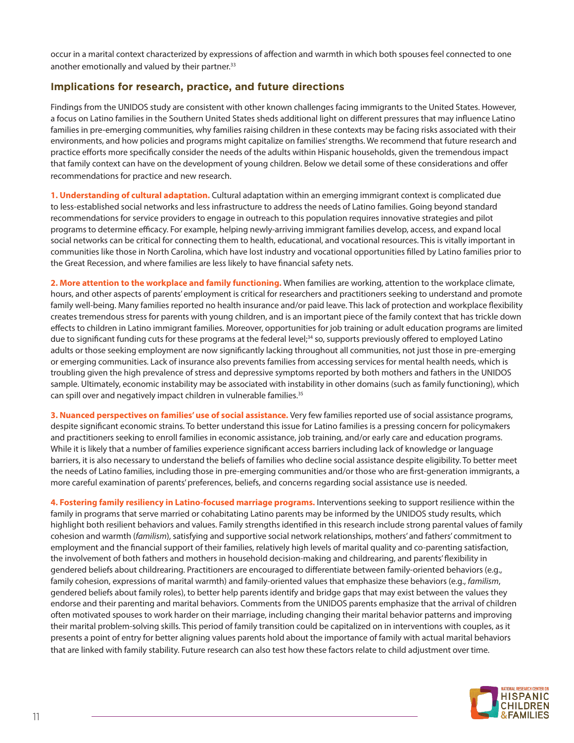occur in a marital context characterized by expressions of affection and warmth in which both spouses feel connected to one another emotionally and valued by their partner.<sup>33</sup>

## **Implications for research, practice, and future directions**

Findings from the UNIDOS study are consistent with other known challenges facing immigrants to the United States. However, a focus on Latino families in the Southern United States sheds additional light on different pressures that may influence Latino families in pre-emerging communities, why families raising children in these contexts may be facing risks associated with their environments, and how policies and programs might capitalize on families' strengths. We recommend that future research and practice efforts more specifically consider the needs of the adults within Hispanic households, given the tremendous impact that family context can have on the development of young children. Below we detail some of these considerations and offer recommendations for practice and new research.

**1. Understanding of cultural adaptation.** Cultural adaptation within an emerging immigrant context is complicated due to less-established social networks and less infrastructure to address the needs of Latino families. Going beyond standard recommendations for service providers to engage in outreach to this population requires innovative strategies and pilot programs to determine efficacy. For example, helping newly-arriving immigrant families develop, access, and expand local social networks can be critical for connecting them to health, educational, and vocational resources. This is vitally important in communities like those in North Carolina, which have lost industry and vocational opportunities filled by Latino families prior to the Great Recession, and where families are less likely to have financial safety nets.

**2. More attention to the workplace and family functioning.** When families are working, attention to the workplace climate, hours, and other aspects of parents' employment is critical for researchers and practitioners seeking to understand and promote family well-being. Many families reported no health insurance and/or paid leave. This lack of protection and workplace flexibility creates tremendous stress for parents with young children, and is an important piece of the family context that has trickle down effects to children in Latino immigrant families. Moreover, opportunities for job training or adult education programs are limited due to significant funding cuts for these programs at the federal level;<sup>34</sup> so, supports previously offered to employed Latino adults or those seeking employment are now significantly lacking throughout all communities, not just those in pre-emerging or emerging communities. Lack of insurance also prevents families from accessing services for mental health needs, which is troubling given the high prevalence of stress and depressive symptoms reported by both mothers and fathers in the UNIDOS sample. Ultimately, economic instability may be associated with instability in other domains (such as family functioning), which can spill over and negatively impact children in vulnerable families.<sup>35</sup>

**3. Nuanced perspectives on families' use of social assistance.** Very few families reported use of social assistance programs, despite significant economic strains. To better understand this issue for Latino families is a pressing concern for policymakers and practitioners seeking to enroll families in economic assistance, job training, and/or early care and education programs. While it is likely that a number of families experience significant access barriers including lack of knowledge or language barriers, it is also necessary to understand the beliefs of families who decline social assistance despite eligibility. To better meet the needs of Latino families, including those in pre-emerging communities and/or those who are first-generation immigrants, a more careful examination of parents' preferences, beliefs, and concerns regarding social assistance use is needed.

**4. Fostering family resiliency in Latino-focused marriage programs.** Interventions seeking to support resilience within the family in programs that serve married or cohabitating Latino parents may be informed by the UNIDOS study results, which highlight both resilient behaviors and values. Family strengths identified in this research include strong parental values of family cohesion and warmth (*familism*), satisfying and supportive social network relationships, mothers' and fathers' commitment to employment and the financial support of their families, relatively high levels of marital quality and co-parenting satisfaction, the involvement of both fathers and mothers in household decision-making and childrearing, and parents' flexibility in gendered beliefs about childrearing. Practitioners are encouraged to differentiate between family-oriented behaviors (e.g., family cohesion, expressions of marital warmth) and family-oriented values that emphasize these behaviors (e.g., *familism*, gendered beliefs about family roles), to better help parents identify and bridge gaps that may exist between the values they endorse and their parenting and marital behaviors. Comments from the UNIDOS parents emphasize that the arrival of children often motivated spouses to work harder on their marriage, including changing their marital behavior patterns and improving their marital problem-solving skills. This period of family transition could be capitalized on in interventions with couples, as it presents a point of entry for better aligning values parents hold about the importance of family with actual marital behaviors that are linked with family stability. Future research can also test how these factors relate to child adjustment over time.

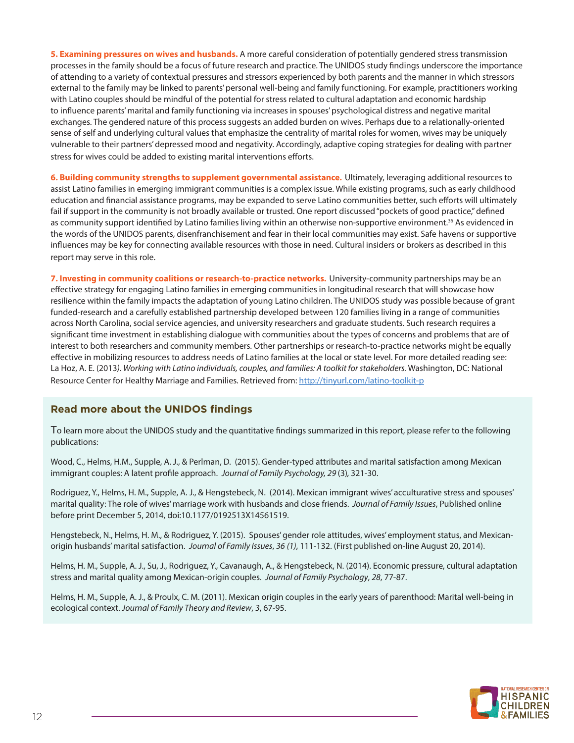**5. Examining pressures on wives and husbands.** A more careful consideration of potentially gendered stress transmission processes in the family should be a focus of future research and practice. The UNIDOS study findings underscore the importance of attending to a variety of contextual pressures and stressors experienced by both parents and the manner in which stressors external to the family may be linked to parents' personal well-being and family functioning. For example, practitioners working with Latino couples should be mindful of the potential for stress related to cultural adaptation and economic hardship to influence parents' marital and family functioning via increases in spouses' psychological distress and negative marital exchanges. The gendered nature of this process suggests an added burden on wives. Perhaps due to a relationally-oriented sense of self and underlying cultural values that emphasize the centrality of marital roles for women, wives may be uniquely vulnerable to their partners' depressed mood and negativity. Accordingly, adaptive coping strategies for dealing with partner stress for wives could be added to existing marital interventions efforts.

**6. Building community strengths to supplement governmental assistance.** Ultimately, leveraging additional resources to assist Latino families in emerging immigrant communities is a complex issue. While existing programs, such as early childhood education and financial assistance programs, may be expanded to serve Latino communities better, such efforts will ultimately fail if support in the community is not broadly available or trusted. One report discussed "pockets of good practice," defined as community support identified by Latino families living within an otherwise non-supportive environment.<sup>36</sup> As evidenced in the words of the UNIDOS parents, disenfranchisement and fear in their local communities may exist. Safe havens or supportive influences may be key for connecting available resources with those in need. Cultural insiders or brokers as described in this report may serve in this role.

**7. Investing in community coalitions or research-to-practice networks.** University-community partnerships may be an effective strategy for engaging Latino families in emerging communities in longitudinal research that will showcase how resilience within the family impacts the adaptation of young Latino children. The UNIDOS study was possible because of grant funded-research and a carefully established partnership developed between 120 families living in a range of communities across North Carolina, social service agencies, and university researchers and graduate students. Such research requires a significant time investment in establishing dialogue with communities about the types of concerns and problems that are of interest to both researchers and community members. Other partnerships or research-to-practice networks might be equally effective in mobilizing resources to address needs of Latino families at the local or state level. For more detailed reading see: La Hoz, A. E. (2013*). Working with Latino individuals, couples, and families: A toolkit for stakeholders.* Washington, DC: National Resource Center for Healthy Marriage and Families. Retrieved from:<http://tinyurl.com/latino-toolkit-p>

## **Read more about the UNIDOS findings**

To learn more about the UNIDOS study and the quantitative findings summarized in this report, please refer to the following publications:

Wood, C., Helms, H.M., Supple, A. J., & Perlman, D. (2015). Gender-typed attributes and marital satisfaction among Mexican immigrant couples: A latent profile approach. *Journal of Family Psychology, 29* (3)*,* 321-30.

Rodriguez, Y., Helms, H. M., Supple, A. J., & Hengstebeck, N. (2014). Mexican immigrant wives' acculturative stress and spouses' marital quality: The role of wives' marriage work with husbands and close friends. *Journal of Family Issues*, Published online before print December 5, 2014, doi:10.1177/0192513X14561519.

Hengstebeck, N., Helms, H. M., & Rodriguez, Y. (2015). Spouses' gender role attitudes, wives' employment status, and Mexicanorigin husbands' marital satisfaction. *Journal of Family Issues*, *36 (1)*, 111-132. (First published on-line August 20, 2014).

Helms, H. M., Supple, A. J., Su, J., Rodriguez, Y., Cavanaugh, A., & Hengstebeck, N. (2014). Economic pressure, cultural adaptation stress and marital quality among Mexican-origin couples. *Journal of Family Psychology*, *28*, 77-87.

Helms, H. M., Supple, A. J., & Proulx, C. M. (2011). Mexican origin couples in the early years of parenthood: Marital well-being in ecological context. *Journal of Family Theory and Review*, *3*, 67-95.

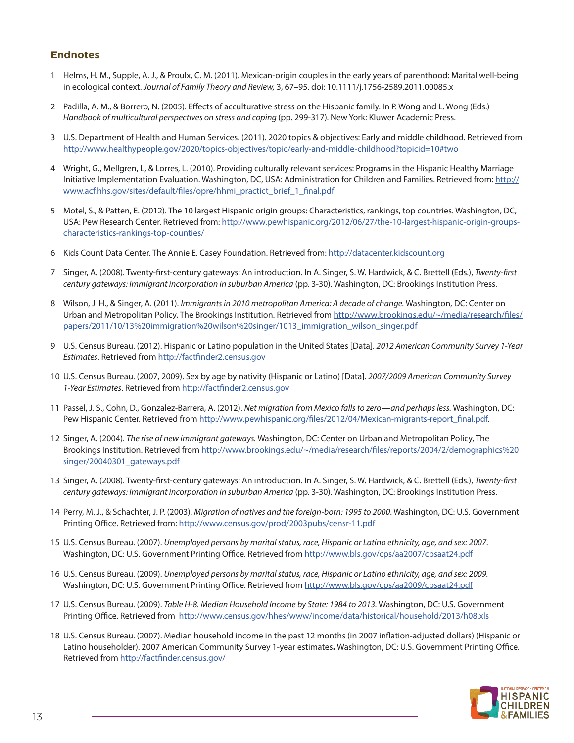## **Endnotes**

- 1 Helms, H. M., Supple, A. J., & Proulx, C. M. (2011). Mexican-origin couples in the early years of parenthood: Marital well-being in ecological context. *Journal of Family Theory and Review,* 3, 67–95. doi: 10.1111/j.1756-2589.2011.00085.x
- 2 Padilla, A. M., & Borrero, N. (2005). Effects of acculturative stress on the Hispanic family. In P. Wong and L. Wong (Eds.) Handbook of multicultural perspectives on stress and coping (pp. 299-317). New York: Kluwer Academic Press.
- 3 U.S. Department of Health and Human Services. (2011). 2020 topics & objectives: Early and middle childhood. Retrieved from <http://www.healthypeople.gov/2020/topics-objectives/topic/early-and-middle-childhood?topicid=10#two>
- 4 Wright, G., Mellgren, L, & Lorres, L. (2010). Providing culturally relevant services: Programs in the Hispanic Healthy Marriage Initiative Implementation Evaluation. Washington, DC, USA: Administration for Children and Families. Retrieved from: [http://](http://www.acf.hhs.gov/sites/default/files/opre/hhmi_practict_brief_1_final.pdf) [www.acf.hhs.gov/sites/default/files/opre/hhmi\\_practict\\_brief\\_1\\_final.pdf](http://www.acf.hhs.gov/sites/default/files/opre/hhmi_practict_brief_1_final.pdf)
- 5 Motel, S., & Patten, E. (2012). The 10 largest Hispanic origin groups: Characteristics, rankings, top countries. Washington, DC, USA: Pew Research Center. Retrieved from: [http://www.pewhispanic.org/2012/06/27/the-10-largest-hispanic-origin-groups](http://www.pewhispanic.org/2012/06/27/the-10-largest-hispanic-origin-groups-characteristics-rankings)[characteristics-rankings-top-counties/](http://www.pewhispanic.org/2012/06/27/the-10-largest-hispanic-origin-groups-characteristics-rankings)
- 6 Kids Count Data Center. The Annie E. Casey Foundation. Retrieved from: <http://datacenter.kidscount.org>
- 7 Singer, A. (2008). Twenty-first-century gateways: An introduction. In A. Singer, S. W. Hardwick, & C. Brettell (Eds.), *Twenty-first century gateways: Immigrant incorporation in suburban America* (pp. 3-30). Washington, DC: Brookings Institution Press.
- 8 Wilson, J. H., & Singer, A. (2011). *Immigrants in 2010 metropolitan America: A decade of change.* Washington, DC: Center on Urban and Metropolitan Policy, The Brookings Institution. Retrieved from [http://www.brookings.edu/~/media/research/files/](http://www.brookings.edu/~/media/research/files/papers/2011/10/13%20immigration%20wilson%20singer/1013_immigration_wilson_singer.pdf) [papers/2011/10/13%20immigration%20wilson%20singer/1013\\_immigration\\_wilson\\_singer.pdf](http://www.brookings.edu/~/media/research/files/papers/2011/10/13%20immigration%20wilson%20singer/1013_immigration_wilson_singer.pdf)
- 9 U.S. Census Bureau. (2012). Hispanic or Latino population in the United States [Data]. *2012 American Community Survey 1-Year Estimates*. Retrieved from <http://factfinder2.census.gov>
- 10 U.S. Census Bureau. (2007, 2009). Sex by age by nativity (Hispanic or Latino) [Data]. *2007/2009 American Community Survey 1-Year Estimates*. Retrieved from<http://factfinder2.census.gov>
- 11 Passel, J. S., Cohn, D., Gonzalez-Barrera, A. (2012). *Net migration from Mexico falls to zero—and perhaps less.* Washington, DC: Pew Hispanic Center. Retrieved from [http://www.pewhispanic.org/files/2012/04/Mexican-migrants-report\\_final.pdf](http://www.pewhispanic.org/files/2012/04/Mexican-migrants-report_final.pdf).
- 12 Singer, A. (2004). *The rise of new immigrant gateways.* Washington, DC: Center on Urban and Metropolitan Policy, The Brookings Institution. Retrieved from [http://www.brookings.edu/~/media/research/files/reports/2004/2/demographics%20](http://www.brookings.edu/~/media/research/files/reports/2004/2/demographics%20singer/20040301_gateways.pdf) [singer/20040301\\_gateways.pdf](http://www.brookings.edu/~/media/research/files/reports/2004/2/demographics%20singer/20040301_gateways.pdf)
- 13 Singer, A. (2008). Twenty-first-century gateways: An introduction. In A. Singer, S. W. Hardwick, & C. Brettell (Eds.), *Twenty-first century gateways: Immigrant incorporation in suburban America* (pp. 3-30). Washington, DC: Brookings Institution Press.
- 14 Perry, M. J., & Schachter, J. P. (2003). *Migration of natives and the foreign-born: 1995 to 2000*. Washington, DC: U.S. Government Printing Office. Retrieved from: <http://www.census.gov/prod/2003pubs/censr-11.pdf>
- 15 U.S. Census Bureau. (2007). *Unemployed persons by marital status, race, Hispanic or Latino ethnicity, age, and sex: 2007*. Washington, DC: U.S. Government Printing Office. Retrieved from<http://www.bls.gov/cps/aa2007/cpsaat24.pdf>
- 16 U.S. Census Bureau. (2009). *Unemployed persons by marital status, race, Hispanic or Latino ethnicity, age, and sex: 2009.* Washington, DC: U.S. Government Printing Office. Retrieved from [http://www.bls.gov/cps/aa2009/cpsaat24.pdf]( http://www.bls.gov/cps/aa2009/cpsaat24.pdf)
- 17 U.S. Census Bureau. (2009). *Table H-8. Median Household Income by State: 1984 to 2013.* Washington, DC: U.S. Government Printing Office. Retrieved from <http://www.census.gov/hhes/www/income/data/historical/household/2013/h08.xls>
- 18 U.S. Census Bureau. (2007). Median household income in the past 12 months (in 2007 inflation-adjusted dollars) (Hispanic or Latino householder). 2007 American Community Survey 1-year estimates**.** Washington, DC: U.S. Government Printing Office. Retrieved from<http://factfinder.census.gov/>

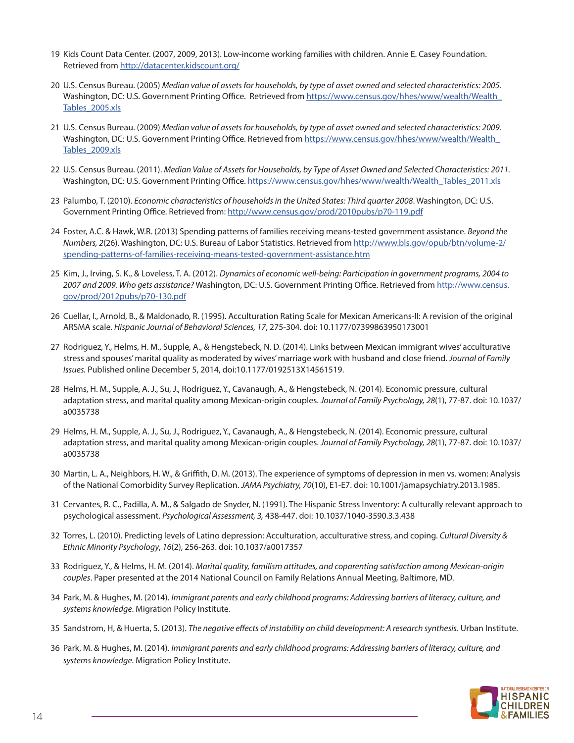- 19 Kids Count Data Center. (2007, 2009, 2013). Low-income working families with children. Annie E. Casey Foundation. Retrieved from<http://datacenter.kidscount.org/>
- 20 U.S. Census Bureau. (2005) *Median value of assets for households, by type of asset owned and selected characteristics: 2005.* Washington, DC: U.S. Government Printing Office. Retrieved from [https://www.census.gov/hhes/www/wealth/Wealth\\_](https://www.census.gov/hhes/www/wealth/Wealth_Tables_2005.xls) [Tables\\_2005.xls](https://www.census.gov/hhes/www/wealth/Wealth_Tables_2005.xls)
- 21 U.S. Census Bureau. (2009) *Median value of assets for households, by type of asset owned and selected characteristics: 2009.* Washington, DC: U.S. Government Printing Office. Retrieved from [https://www.census.gov/hhes/www/wealth/Wealth\\_](https://www.census.gov/hhes/www/wealth/Wealth_Tables_2009.xls) [Tables\\_2009.xls](https://www.census.gov/hhes/www/wealth/Wealth_Tables_2009.xls)
- 22 U.S. Census Bureau. (2011). *Median Value of Assets for Households, by Type of Asset Owned and Selected Characteristics: 2011.* Washington, DC: U.S. Government Printing Office. [https://www.census.gov/hhes/www/wealth/Wealth\\_Tables\\_2011.xls](https://www.census.gov/hhes/www/wealth/Wealth_Tables_2011.xls)
- 23 Palumbo, T. (2010). *Economic characteristics of households in the United States: Third quarter 2008*. Washington, DC: U.S. Government Printing Office. Retrieved from: <http://www.census.gov/prod/2010pubs/p70-119.pdf>
- 24 Foster, A.C. & Hawk, W.R. (2013) Spending patterns of families receiving means-tested government assistance. *Beyond the Numbers, 2*(26). Washington, DC: U.S. Bureau of Labor Statistics. Retrieved from [http://www.bls.gov/opub/btn/volume-2/](http://www.bls.gov/opub/btn/volume-2/spending-patterns-of-families-receiving-means-tested-government) [spending-patterns-of-families-receiving-means-tested-government-assistance.htm](http://www.bls.gov/opub/btn/volume-2/spending-patterns-of-families-receiving-means-tested-government)
- 25 Kim, J., Irving, S. K., & Loveless, T. A. (2012). *Dynamics of economic well-being: Participation in government programs, 2004 to 2007 and 2009. Who gets assistance?* Washington, DC: U.S. Government Printing Office. Retrieved from [http://www.census.](http://www.census.gov/prod/2012pubs/p70-130.pdf) [gov/prod/2012pubs/p70-130.pdf](http://www.census.gov/prod/2012pubs/p70-130.pdf)
- 26 Cuellar, I., Arnold, B., & Maldonado, R. (1995). Acculturation Rating Scale for Mexican Americans-II: A revision of the original ARSMA scale. *Hispanic Journal of Behavioral Sciences, 17*, 275-304. doi: 10.1177/07399863950173001
- 27 Rodriguez, Y., Helms, H. M., Supple, A., & Hengstebeck, N. D. (2014). Links between Mexican immigrant wives' acculturative stress and spouses' marital quality as moderated by wives' marriage work with husband and close friend. *Journal of Family Issues.* Published online December 5, 2014, doi:10.1177/0192513X14561519.
- 28 Helms, H. M., Supple, A. J., Su, J., Rodriguez, Y., Cavanaugh, A., & Hengstebeck, N. (2014). Economic pressure, cultural adaptation stress, and marital quality among Mexican-origin couples. *Journal of Family Psychology, 28*(1), 77-87. doi: 10.1037/ a0035738
- 29 Helms, H. M., Supple, A. J., Su, J., Rodriguez, Y., Cavanaugh, A., & Hengstebeck, N. (2014). Economic pressure, cultural adaptation stress, and marital quality among Mexican-origin couples. *Journal of Family Psychology, 28*(1), 77-87. doi: 10.1037/ a0035738
- 30 Martin, L. A., Neighbors, H. W., & Griffith, D. M. (2013). The experience of symptoms of depression in men vs. women: Analysis of the National Comorbidity Survey Replication. *JAMA Psychiatry, 70*(10), E1-E7. doi: 10.1001/jamapsychiatry.2013.1985.
- 31 Cervantes, R. C., Padilla, A. M., & Salgado de Snyder, N. (1991). The Hispanic Stress Inventory: A culturally relevant approach to psychological assessment. *Psychological Assessment, 3,* 438-447. doi: 10.1037/1040-3590.3.3.438
- 32 Torres, L. (2010). Predicting levels of Latino depression: Acculturation, acculturative stress, and coping. *Cultural Diversity & Ethnic Minority Psychology*, *16*(2), 256-263. doi: 10.1037/a0017357
- 33 Rodriguez, Y., & Helms, H. M. (2014). *Marital quality, familism attitudes, and coparenting satisfaction among Mexican-origin couples*. Paper presented at the 2014 National Council on Family Relations Annual Meeting, Baltimore, MD.
- 34 Park, M. & Hughes, M. (2014). *Immigrant parents and early childhood programs: Addressing barriers of literacy, culture, and systems knowledge*. Migration Policy Institute.
- 35 Sandstrom, H, & Huerta, S. (2013). *The negative effects of instability on child development: A research synthesis*. Urban Institute.
- 36 Park, M. & Hughes, M. (2014). *Immigrant parents and early childhood programs: Addressing barriers of literacy, culture, and systems knowledge*. Migration Policy Institute.